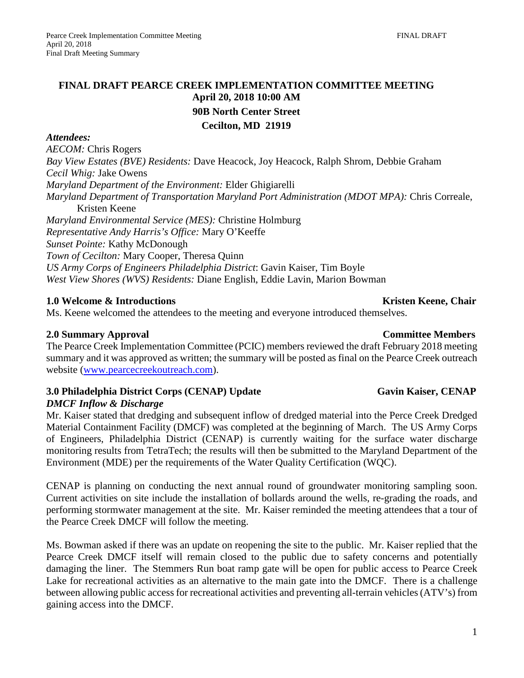# **FINAL DRAFT PEARCE CREEK IMPLEMENTATION COMMITTEE MEETING April 20, 2018 10:00 AM 90B North Center Street Cecilton, MD 21919**

### *Attendees:*

*AECOM:* Chris Rogers *Bay View Estates (BVE) Residents:* Dave Heacock, Joy Heacock, Ralph Shrom, Debbie Graham *Cecil Whig:* Jake Owens *Maryland Department of the Environment:* Elder Ghigiarelli *Maryland Department of Transportation Maryland Port Administration (MDOT MPA):* Chris Correale, Kristen Keene *Maryland Environmental Service (MES):* Christine Holmburg *Representative Andy Harris's Office:* Mary O'Keeffe *Sunset Pointe:* Kathy McDonough *Town of Cecilton:* Mary Cooper, Theresa Quinn *US Army Corps of Engineers Philadelphia District*: Gavin Kaiser, Tim Boyle *West View Shores (WVS) Residents:* Diane English, Eddie Lavin, Marion Bowman

## **1.0** Welcome & Introductions Kristen Keene, Chair

Ms. Keene welcomed the attendees to the meeting and everyone introduced themselves.

## **2.0 Summary Approval Committee Members**

The Pearce Creek Implementation Committee (PCIC) members reviewed the draft February 2018 meeting summary and it was approved as written; the summary will be posted as final on the Pearce Creek outreach website [\(www.pearcecreekoutreach.com\)](http://www.pearcecreekoutreach.com/).

## **3.0 Philadelphia District Corps (CENAP) Update Gavin Kaiser, CENAP**

## *DMCF Inflow & Discharge*

Mr. Kaiser stated that dredging and subsequent inflow of dredged material into the Perce Creek Dredged Material Containment Facility (DMCF) was completed at the beginning of March. The US Army Corps of Engineers, Philadelphia District (CENAP) is currently waiting for the surface water discharge monitoring results from TetraTech; the results will then be submitted to the Maryland Department of the Environment (MDE) per the requirements of the Water Quality Certification (WQC).

CENAP is planning on conducting the next annual round of groundwater monitoring sampling soon. Current activities on site include the installation of bollards around the wells, re-grading the roads, and performing stormwater management at the site. Mr. Kaiser reminded the meeting attendees that a tour of the Pearce Creek DMCF will follow the meeting.

Ms. Bowman asked if there was an update on reopening the site to the public. Mr. Kaiser replied that the Pearce Creek DMCF itself will remain closed to the public due to safety concerns and potentially damaging the liner. The Stemmers Run boat ramp gate will be open for public access to Pearce Creek Lake for recreational activities as an alternative to the main gate into the DMCF. There is a challenge between allowing public access for recreational activities and preventing all-terrain vehicles(ATV's) from gaining access into the DMCF.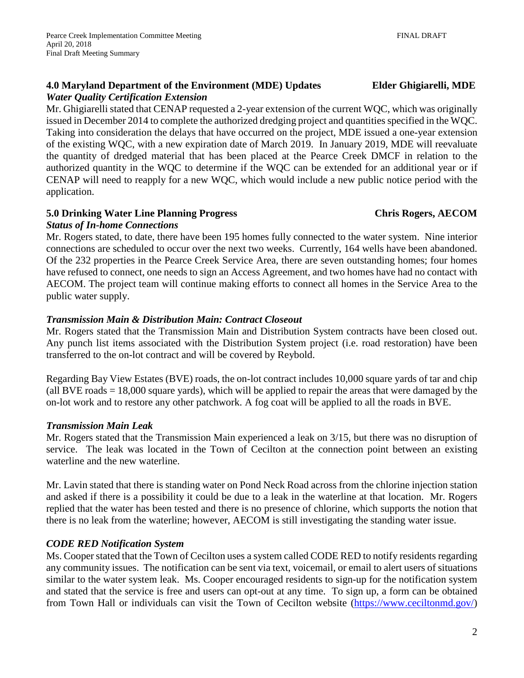### **4.0 Maryland Department of the Environment (MDE) Updates Elder Ghigiarelli, MDE** *Water Quality Certification Extension*

Mr. Ghigiarelli stated that CENAP requested a 2-year extension of the current WQC, which was originally issued in December 2014 to complete the authorized dredging project and quantities specified in the WQC. Taking into consideration the delays that have occurred on the project, MDE issued a one-year extension of the existing WQC, with a new expiration date of March 2019. In January 2019, MDE will reevaluate the quantity of dredged material that has been placed at the Pearce Creek DMCF in relation to the authorized quantity in the WQC to determine if the WQC can be extended for an additional year or if CENAP will need to reapply for a new WQC, which would include a new public notice period with the application.

## **5.0 Drinking Water Line Planning Progress Chris Rogers, AECOM**

## *Status of In-home Connections*

Mr. Rogers stated, to date, there have been 195 homes fully connected to the water system. Nine interior connections are scheduled to occur over the next two weeks. Currently, 164 wells have been abandoned. Of the 232 properties in the Pearce Creek Service Area, there are seven outstanding homes; four homes have refused to connect, one needs to sign an Access Agreement, and two homes have had no contact with AECOM. The project team will continue making efforts to connect all homes in the Service Area to the public water supply.

## *Transmission Main & Distribution Main: Contract Closeout*

Mr. Rogers stated that the Transmission Main and Distribution System contracts have been closed out. Any punch list items associated with the Distribution System project (i.e. road restoration) have been transferred to the on-lot contract and will be covered by Reybold.

Regarding Bay View Estates (BVE) roads, the on-lot contract includes 10,000 square yards of tar and chip (all BVE roads = 18,000 square yards), which will be applied to repair the areas that were damaged by the on-lot work and to restore any other patchwork. A fog coat will be applied to all the roads in BVE.

# *Transmission Main Leak*

Mr. Rogers stated that the Transmission Main experienced a leak on 3/15, but there was no disruption of service. The leak was located in the Town of Cecilton at the connection point between an existing waterline and the new waterline.

Mr. Lavin stated that there is standing water on Pond Neck Road across from the chlorine injection station and asked if there is a possibility it could be due to a leak in the waterline at that location. Mr. Rogers replied that the water has been tested and there is no presence of chlorine, which supports the notion that there is no leak from the waterline; however, AECOM is still investigating the standing water issue.

# *CODE RED Notification System*

Ms. Cooper stated that the Town of Cecilton uses a system called CODE RED to notify residents regarding any community issues. The notification can be sent via text, voicemail, or email to alert users of situations similar to the water system leak. Ms. Cooper encouraged residents to sign-up for the notification system and stated that the service is free and users can opt-out at any time. To sign up, a form can be obtained from Town Hall or individuals can visit the Town of Cecilton website [\(https://www.ceciltonmd.gov/\)](https://www.ceciltonmd.gov/)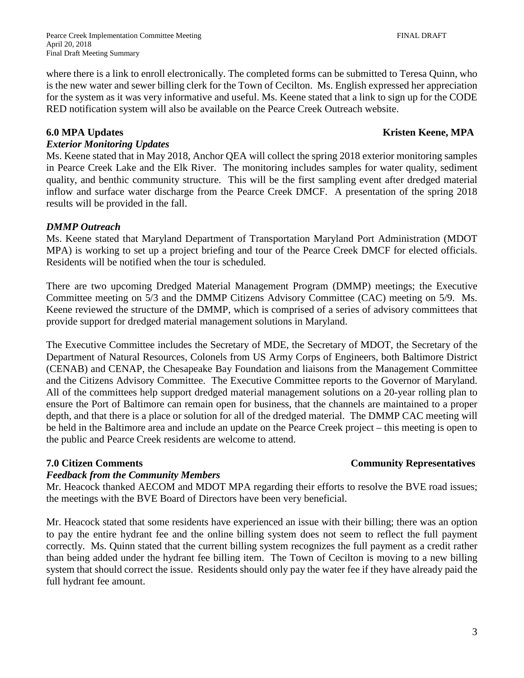where there is a link to enroll electronically. The completed forms can be submitted to Teresa Quinn, who is the new water and sewer billing clerk for the Town of Cecilton. Ms. English expressed her appreciation for the system as it was very informative and useful. Ms. Keene stated that a link to sign up for the CODE RED notification system will also be available on the Pearce Creek Outreach website.

## **6.0** MPA Updates **Kristen Keene, MPA**

## *Exterior Monitoring Updates*

Ms. Keene stated that in May 2018, Anchor QEA will collect the spring 2018 exterior monitoring samples in Pearce Creek Lake and the Elk River. The monitoring includes samples for water quality, sediment quality, and benthic community structure. This will be the first sampling event after dredged material inflow and surface water discharge from the Pearce Creek DMCF. A presentation of the spring 2018 results will be provided in the fall.

### *DMMP Outreach*

Ms. Keene stated that Maryland Department of Transportation Maryland Port Administration (MDOT MPA) is working to set up a project briefing and tour of the Pearce Creek DMCF for elected officials. Residents will be notified when the tour is scheduled.

There are two upcoming Dredged Material Management Program (DMMP) meetings; the Executive Committee meeting on 5/3 and the DMMP Citizens Advisory Committee (CAC) meeting on 5/9. Ms. Keene reviewed the structure of the DMMP, which is comprised of a series of advisory committees that provide support for dredged material management solutions in Maryland.

The Executive Committee includes the Secretary of MDE, the Secretary of MDOT, the Secretary of the Department of Natural Resources, Colonels from US Army Corps of Engineers, both Baltimore District (CENAB) and CENAP, the Chesapeake Bay Foundation and liaisons from the Management Committee and the Citizens Advisory Committee. The Executive Committee reports to the Governor of Maryland. All of the committees help support dredged material management solutions on a 20-year rolling plan to ensure the Port of Baltimore can remain open for business, that the channels are maintained to a proper depth, and that there is a place or solution for all of the dredged material. The DMMP CAC meeting will be held in the Baltimore area and include an update on the Pearce Creek project – this meeting is open to the public and Pearce Creek residents are welcome to attend.

## **7.0 Citizen Comments** Community Representatives

## *Feedback from the Community Members*

Mr. Heacock thanked AECOM and MDOT MPA regarding their efforts to resolve the BVE road issues; the meetings with the BVE Board of Directors have been very beneficial.

Mr. Heacock stated that some residents have experienced an issue with their billing; there was an option to pay the entire hydrant fee and the online billing system does not seem to reflect the full payment correctly. Ms. Quinn stated that the current billing system recognizes the full payment as a credit rather than being added under the hydrant fee billing item. The Town of Cecilton is moving to a new billing system that should correct the issue. Residents should only pay the water fee if they have already paid the full hydrant fee amount.